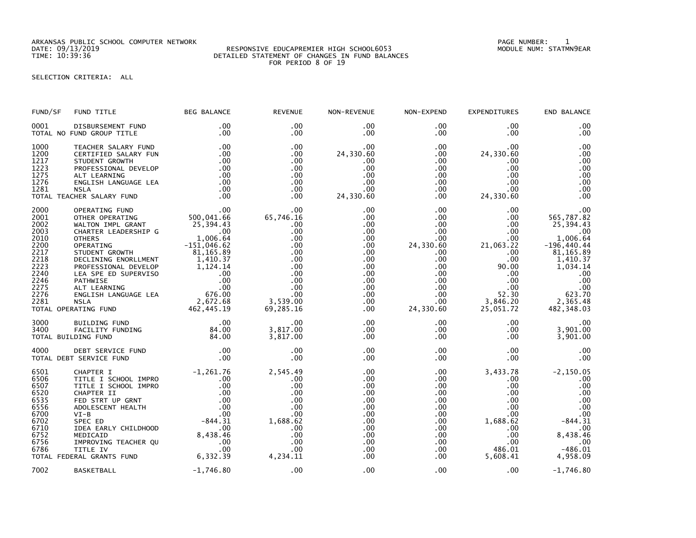ARKANSAS PUBLIC SCHOOL COMPUTER NETWORK PAGE NUMBER: 1

## RESPONSIVE EDUCAPREMIER HIGH SCHOOL6053 DETAILED STATEMENT OF CHANGES IN FUND BALANCES FOR PERIOD 8 OF 19

SELECTION CRITERIA: ALL

| FUND/SF                                                                                                      | FUND TITLE                                                                                                                                                                                                                                                                                                                                                                                                 | <b>BEG BALANCE</b>                                                                                                                                                                                   | <b>REVENUE</b>                                                                                                                | NON-REVENUE                                                                                                                                        | NON-EXPEND                                                                                                                                                     | EXPENDITURES                                                                                                                                                      | END BALANCE                                                                                                                                                        |
|--------------------------------------------------------------------------------------------------------------|------------------------------------------------------------------------------------------------------------------------------------------------------------------------------------------------------------------------------------------------------------------------------------------------------------------------------------------------------------------------------------------------------------|------------------------------------------------------------------------------------------------------------------------------------------------------------------------------------------------------|-------------------------------------------------------------------------------------------------------------------------------|----------------------------------------------------------------------------------------------------------------------------------------------------|----------------------------------------------------------------------------------------------------------------------------------------------------------------|-------------------------------------------------------------------------------------------------------------------------------------------------------------------|--------------------------------------------------------------------------------------------------------------------------------------------------------------------|
| 0001                                                                                                         | DISBURSEMENT FUND<br>TOTAL NO FUND GROUP TITLE                                                                                                                                                                                                                                                                                                                                                             | .00<br>.00                                                                                                                                                                                           | .00<br>.00                                                                                                                    | $.00 \,$<br>.00                                                                                                                                    | $.00 \,$<br>$.00 \,$                                                                                                                                           | .00<br>.00                                                                                                                                                        | .00<br>.00                                                                                                                                                         |
| 1000<br>1200<br>1217<br>1223<br>1275<br>1276<br>1281                                                         | TEACHER SALARY FUND<br>CERTIFIED SALARY FUN<br>STUDENT GROWTH<br>PROFESSIONAL DEVELOP<br>ALT LEARNING<br>ENGLISH LANGUAGE LEA<br><b>NSLA</b><br>TOTAL TEACHER SALARY FUND                                                                                                                                                                                                                                  | .00<br>.00<br>.00<br>.00<br>.00<br>.00<br>.00<br>.00                                                                                                                                                 | .00<br>.00<br>.00<br>.00<br>.00<br>.00<br>.00<br>$.00 \,$                                                                     | .00<br>24,330.60<br>.00<br>.00<br>.00<br>.00<br>.00<br>24,330.60                                                                                   | .00<br>$.00 \,$<br>$.00 \,$<br>$.00 \,$<br>$.00 \,$<br>$.00 \,$<br>$.00 \,$<br>$.00 \,$                                                                        | .00<br>24,330.60<br>.00.<br>$.00 \,$<br>.00<br>.00<br>.00<br>24,330.60                                                                                            | .00<br>.00<br>.00<br>.00<br>.00<br>.00<br>.00<br>.00                                                                                                               |
| 2000<br>2001<br>2002<br>2003<br>2010<br>2200<br>2217<br>2218<br>2223<br>2240<br>2246<br>2275<br>2276<br>2281 | OPERATING FUND<br>OTHER OPERATING<br>WALTON IMPL GRANT<br>CHARTER LEADERSHIP G<br><b>OTHERS</b><br>OPERATING<br>STUDENT GROWTH<br>SIUDENT GROWTH DECLINING ENORLLMENT BULATER 1,410.37<br>PROFESSIONAL DEVELOP 1,124.14<br>PROFESSIONAL DEVELOP 1,124.14<br>PATHWISE 00<br>PATHWISE 00<br>ALT LEARNING 00<br>ALT LEARNING 00<br>ENGLISH LANGUAGE LEA 676.00<br>NSLA 2,672.68<br>RA<br>TOTAL OPERATING FUND | $500,041.66$<br>$25,394.43$<br>$-1006.64$<br>$-151,046.62$<br>$-151,046.62$<br>81, 165.89                                                                                                            | .00<br>00.<br>65,746.16<br>.00<br>.00<br>.00<br>.00<br>.00<br>.00<br>.00<br>.00<br>.00<br>.00<br>.00<br>3,539.00<br>69,285.16 | .00<br>$.00 \,$<br>.00<br>$.00 \,$<br>$.00 \,$<br>$.00 \,$<br>$.00 \,$<br>.00<br>.00<br>$.00 \,$<br>$.00 \,$<br>.00<br>$.00 \,$<br>$.00 \,$<br>.00 | .00<br>$.00 \,$<br>$.00 \,$<br>.00<br>.00<br>24,330.60<br>$.00 \,$<br>$.00 \,$<br>.00<br>$.00 \,$<br>$.00 \,$<br>$.00 \,$<br>$.00 \,$<br>$.00 \,$<br>24,330.60 | $.00 \,$<br>$.00 \,$<br>$.00 \times$<br>$.00 \,$<br>$.00 \,$<br>21,063.22<br>$.00 \,$<br>.00<br>90.00<br>$.00 \,$<br>.00<br>.00<br>52.30<br>3,846.20<br>25,051.72 | .00<br>565,787.82<br>25,394.43<br>.00<br>1,006.64<br>$-196, 440.44$<br>81, 165.89<br>1,410.37<br>1,034.14<br>.00<br>.00<br>.00<br>623.70<br>2,365.48<br>482,348.03 |
| 3000<br>3400                                                                                                 | <b>BUILDING FUND</b><br>FACILITY FUNDING<br>TOTAL BUILDING FUND                                                                                                                                                                                                                                                                                                                                            | .00<br>84.00<br>84.00                                                                                                                                                                                | .00<br>3,817.00<br>3,817.00                                                                                                   | $.00 \,$<br>$.00 \,$<br>$.00 \,$                                                                                                                   | $.00 \,$<br>$.00 \,$<br>$.00 \,$                                                                                                                               | .00<br>$.00 \,$<br>$.00 \,$                                                                                                                                       | .00<br>3,901.00<br>3,901.00                                                                                                                                        |
| 4000                                                                                                         | DEBT SERVICE FUND<br>TOTAL DEBT SERVICE FUND                                                                                                                                                                                                                                                                                                                                                               | $\frac{0.00}{0.00}$                                                                                                                                                                                  | .00<br>.00                                                                                                                    | $.00 \,$<br>.00                                                                                                                                    | $.00 \,$<br>$.00 \,$                                                                                                                                           | $.00 \,$<br>$.00 \,$                                                                                                                                              | .00<br>.00                                                                                                                                                         |
| 6501<br>6506<br>6507<br>6520<br>6535<br>6556<br>6700<br>6702<br>6710<br>6752<br>6756<br>6786                 | CHAPTER I<br>TITLE I SCHOOL IMPRO<br>TITLE I SCHOOL IMPRO<br>CHAPTER II<br>FED STRT UP GRNT<br>ADOLESCENT HEALTH<br>$VI-B$<br>SPEC ED<br>IDEA EARLY CHILDHOOD<br>MEDICAID<br>IMPROVING TEACHER QU<br>TITLE IV<br>TOTAL FEDERAL GRANTS FUND                                                                                                                                                                 | $-1,261.76$<br>.00<br>.00<br>.00<br>$-844\begin{array}{r} 00 \\ -300 \\ -844\begin{array}{r} 31 \\ -00 \\ 00 \\ -00 \\ 00 \\ 00 \\ -6 \end{array} \end{array}$<br>8,438.46<br>.00<br>.00<br>6,332.39 | 2,545.49<br>.00<br>.00<br>.00<br>.00<br>.00<br>.00<br>1,688.62<br>.00<br>.00<br>.00<br>.00<br>4,234.11                        | $.00 \,$<br>.00<br>$.00 \,$<br>.00<br>.00<br>$.00 \,$<br>$.00 \,$<br>.00<br>.00<br>.00<br>$.00 \,$<br>.00<br>.00                                   | $.00 \,$<br>.00<br>$.00 \,$<br>.00 <sub>1</sub><br>.00<br>$.00 \,$<br>$.00 \,$<br>$.00 \,$<br>.00<br>$.00 \,$<br>$.00 \,$<br>$.00 \,$<br>.00                   | 3,433.78<br>$.00 \,$<br>$.00 \,$<br>$.00 \,$<br>$.00 \,$<br>$.00 \,$<br>$.00 \,$<br>1,688.62<br>$.00 \,$<br>$.00 \,$<br>$.00 \,$<br>486.01<br>5,608.41            | $-2, 150.05$<br>.00<br>.00<br>.00<br>.00<br>.00<br>.00<br>$-844.31$<br>.00<br>8,438.46<br>.00<br>$-486.01$<br>4,958.09                                             |
| 7002                                                                                                         | <b>BASKETBALL</b>                                                                                                                                                                                                                                                                                                                                                                                          | $-1,746.80$                                                                                                                                                                                          | .00                                                                                                                           | .00                                                                                                                                                | .00                                                                                                                                                            | .00.                                                                                                                                                              | $-1,746.80$                                                                                                                                                        |